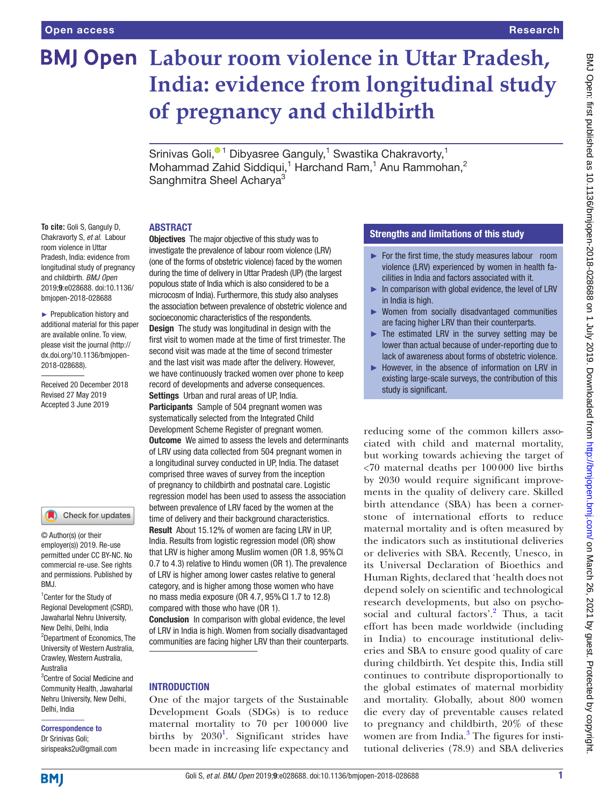# **BMJ Open Labour room violence in Uttar Pradesh, India: evidence from longitudinal study of pregnancy and childbirth**

Srinivas Goli[,](http://orcid.org/0000-0002-8481-484X)<sup>® 1</sup> Dibyasree Ganguly,<sup>1</sup> Swastika Chakravorty,<sup>1</sup> Mohammad Zahid Siddiqui,<sup>1</sup> Harchand Ram,<sup>1</sup> Anu Rammohan,<sup>2</sup> Sanghmitra Sheel Acharya<sup>3</sup>

#### **ABSTRACT**

**To cite:** Goli S, Ganguly D, Chakravorty S, *et al*. Labour room violence in Uttar Pradesh, India: evidence from longitudinal study of pregnancy and childbirth. *BMJ Open* 2019;9:e028688. doi:10.1136/ bmjopen-2018-028688

► Prepublication history and additional material for this paper are available online. To view, please visit the journal ([http://](http://dx.doi.org/10.1136/bmjopen-2018-028688) [dx.doi.org/10.1136/bmjopen-](http://dx.doi.org/10.1136/bmjopen-2018-028688)[2018-028688\)](http://dx.doi.org/10.1136/bmjopen-2018-028688).

Received 20 December 2018 Revised 27 May 2019 Accepted 3 June 2019

#### Check for updates

© Author(s) (or their employer(s)) 2019. Re-use permitted under CC BY-NC. No commercial re-use. See rights and permissions. Published by BMJ.

<sup>1</sup> Center for the Study of Regional Development (CSRD), Jawaharlal Nehru University, New Delhi, Delhi, India 2 Department of Economics, The University of Western Australia, Crawley, Western Australia, Australia

3 Centre of Social Medicine and Community Health, Jawaharlal Nehru University, New Delhi, Delhi, India

#### Correspondence to Dr Srinivas Goli;

sirispeaks2u@gmail.com

**Objectives** The major objective of this study was to investigate the prevalence of labour room violence (LRV) (one of the forms of obstetric violence) faced by the women during the time of delivery in Uttar Pradesh (UP) (the largest populous state of India which is also considered to be a microcosm of India). Furthermore, this study also analyses the association between prevalence of obstetric violence and socioeconomic characteristics of the respondents. Design The study was longitudinal in design with the first visit to women made at the time of first trimester. The second visit was made at the time of second trimester and the last visit was made after the delivery. However, we have continuously tracked women over phone to keep

record of developments and adverse consequences. Settings Urban and rural areas of UP, India. Participants Sample of 504 pregnant women was systematically selected from the Integrated Child Development Scheme Register of pregnant women. **Outcome** We aimed to assess the levels and determinants of LRV using data collected from 504 pregnant women in a longitudinal survey conducted in UP, India. The dataset comprised three waves of survey from the inception of pregnancy to childbirth and postnatal care. Logistic regression model has been used to assess the association between prevalence of LRV faced by the women at the time of delivery and their background characteristics. Result About 15.12% of women are facing LRV in UP, India. Results from logistic regression model (OR) show that LRV is higher among Muslim women (OR 1.8, 95% CI 0.7 to 4.3) relative to Hindu women (OR 1). The prevalence of LRV is higher among lower castes relative to general category, and is higher among those women who have no mass media exposure (OR 4.7, 95%CI 1.7 to 12.8) compared with those who have (OR 1).

Conclusion In comparison with global evidence, the level of LRV in India is high. Women from socially disadvantaged communities are facing higher LRV than their counterparts.

# **INTRODUCTION**

One of the major targets of the Sustainable Development Goals (SDGs) is to reduce maternal mortality to 70 per 100000 live births by  $2030<sup>1</sup>$  $2030<sup>1</sup>$  $2030<sup>1</sup>$ . Significant strides have been made in increasing life expectancy and

# Strengths and limitations of this study

- ► For the first time, the study measures labour room violence (LRV) experienced by women in health facilities in India and factors associated with it.
- $\blacktriangleright$  In comparison with global evidence, the level of LRV in India is high.
- ► Women from socially disadvantaged communities are facing higher LRV than their counterparts.
- $\blacktriangleright$  The estimated LRV in the survey setting may be lower than actual because of under-reporting due to lack of awareness about forms of obstetric violence.
- ► However, in the absence of information on LRV in existing large-scale surveys, the contribution of this study is significant.

reducing some of the common killers associated with child and maternal mortality, but working towards achieving the target of <70 maternal deaths per 100000 live births by 2030 would require significant improvements in the quality of delivery care. Skilled birth attendance (SBA) has been a cornerstone of international efforts to reduce maternal mortality and is often measured by the indicators such as institutional deliveries or deliveries with SBA. Recently, Unesco, in its Universal Declaration of Bioethics and Human Rights, declared that 'health does not depend solely on scientific and technological research developments, but also on psycho-social and cultural factors'.<sup>[2](#page-4-1)</sup> Thus, a tacit effort has been made worldwide (including in India) to encourage institutional deliveries and SBA to ensure good quality of care during childbirth. Yet despite this, India still continues to contribute disproportionally to the global estimates of maternal morbidity and mortality. Globally, about 800 women die every day of preventable causes related to pregnancy and childbirth, 20% of these women are from India.<sup>3</sup> The figures for institutional deliveries (78.9) and SBA deliveries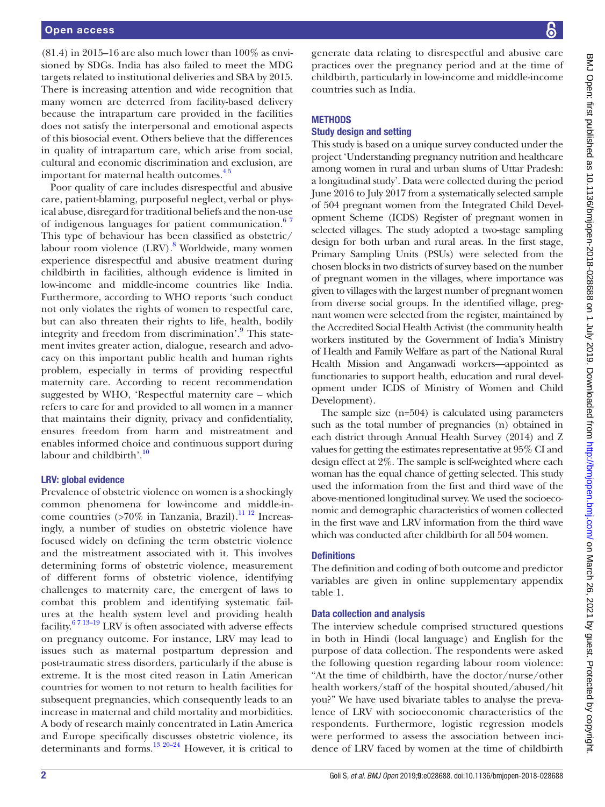$(81.4)$  in 2015–16 are also much lower than  $100\%$  as envisioned by SDGs. India has also failed to meet the MDG targets related to institutional deliveries and SBA by 2015. There is increasing attention and wide recognition that many women are deterred from facility-based delivery because the intrapartum care provided in the facilities does not satisfy the interpersonal and emotional aspects of this biosocial event. Others believe that the differences in quality of intrapartum care, which arise from social, cultural and economic discrimination and exclusion, are important for maternal health outcomes.<sup>45</sup>

Poor quality of care includes disrespectful and abusive care, patient-blaming, purposeful neglect, verbal or physical abuse, disregard for traditional beliefs and the non-use of indigenous languages for patient communication.<sup>67</sup> This type of behaviour has been classified as obstetric/ labour room violence (LRV).<sup>[8](#page-4-5)</sup> Worldwide, many women experience disrespectful and abusive treatment during childbirth in facilities, although evidence is limited in low-income and middle-income countries like India. Furthermore, according to WHO reports 'such conduct not only violates the rights of women to respectful care, but can also threaten their rights to life, health, bodily integrity and freedom from discrimination'.<sup>[9](#page-4-6)</sup> This statement invites greater action, dialogue, research and advocacy on this important public health and human rights problem, especially in terms of providing respectful maternity care. According to recent recommendation suggested by WHO, 'Respectful maternity care – which refers to care for and provided to all women in a manner that maintains their dignity, privacy and confidentiality, ensures freedom from harm and mistreatment and enables informed choice and continuous support during labour and childbirth'. $10$ 

## LRV: global evidence

Prevalence of obstetric violence on women is a shockingly common phenomena for low-income and middle-income countries (>70% in Tanzania, Brazil).<sup>11 12</sup> Increasingly, a number of studies on obstetric violence have focused widely on defining the term obstetric violence and the mistreatment associated with it. This involves determining forms of obstetric violence, measurement of different forms of obstetric violence, identifying challenges to maternity care, the emergent of laws to combat this problem and identifying systematic failures at the health system level and providing health facility. $6713-19$  LRV is often associated with adverse effects on pregnancy outcome. For instance, LRV may lead to issues such as maternal postpartum depression and post-traumatic stress disorders, particularly if the abuse is extreme. It is the most cited reason in Latin American countries for women to not return to health facilities for subsequent pregnancies, which consequently leads to an increase in maternal and child mortality and morbidities. A body of research mainly concentrated in Latin America and Europe specifically discusses obstetric violence, its determinants and forms. $^{13}$   $^{20-24}$  However, it is critical to

generate data relating to disrespectful and abusive care practices over the pregnancy period and at the time of childbirth, particularly in low-income and middle-income countries such as India.

### **METHODS**

#### Study design and setting

This study is based on a unique survey conducted under the project 'Understanding pregnancy nutrition and healthcare among women in rural and urban slums of Uttar Pradesh: a longitudinal study'. Data were collected during the period June 2016 to July 2017 from a systematically selected sample of 504 pregnant women from the Integrated Child Development Scheme (ICDS) Register of pregnant women in selected villages. The study adopted a two-stage sampling design for both urban and rural areas. In the first stage, Primary Sampling Units (PSUs) were selected from the chosen blocks in two districts of survey based on the number of pregnant women in the villages, where importance was given to villages with the largest number of pregnant women from diverse social groups. In the identified village, pregnant women were selected from the register, maintained by the Accredited Social Health Activist (the community health workers instituted by the Government of India's Ministry of Health and Family Welfare as part of the National Rural Health Mission and Anganwadi workers—appointed as functionaries to support health, education and rural development under ICDS of Ministry of Women and Child Development).

The sample size (n=504) is calculated using parameters such as the total number of pregnancies (n) obtained in each district through Annual Health Survey (2014) and Z values for getting the estimates representative at 95% CI and design effect at 2%. The sample is self-weighted where each woman has the equal chance of getting selected. This study used the information from the first and third wave of the above-mentioned longitudinal survey. We used the socioeconomic and demographic characteristics of women collected in the first wave and LRV information from the third wave which was conducted after childbirth for all 504 women.

#### **Definitions**

The definition and coding of both outcome and predictor variables are given in online [supplementary appendix](https://dx.doi.org/10.1136/bmjopen-2018-028688)  [table 1](https://dx.doi.org/10.1136/bmjopen-2018-028688).

#### Data collection and analysis

The interview schedule comprised structured questions in both in Hindi (local language) and English for the purpose of data collection. The respondents were asked the following question regarding labour room violence: "At the time of childbirth, have the doctor/nurse/other health workers/staff of the hospital shouted/abused/hit you?" We have used bivariate tables to analyse the prevalence of LRV with socioeconomic characteristics of the respondents. Furthermore, logistic regression models were performed to assess the association between incidence of LRV faced by women at the time of childbirth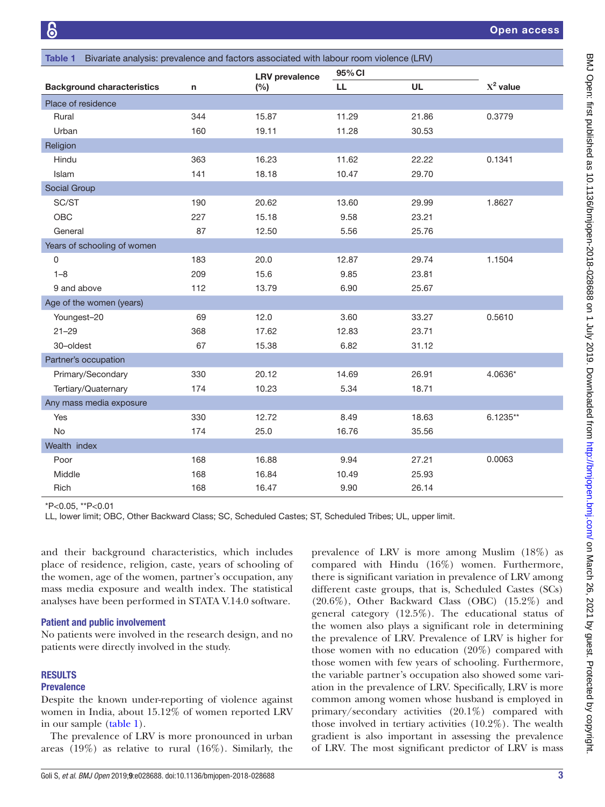<span id="page-2-0"></span>

| Bivariate analysis: prevalence and factors associated with labour room violence (LRV)<br>Table 1 |                                   |     |                       |        |           |             |  |
|--------------------------------------------------------------------------------------------------|-----------------------------------|-----|-----------------------|--------|-----------|-------------|--|
|                                                                                                  |                                   |     | <b>LRV</b> prevalence | 95% CI |           |             |  |
|                                                                                                  | <b>Background characteristics</b> | n   | $(\%)$                | LL.    | <b>UL</b> | $X^2$ value |  |
| Place of residence                                                                               |                                   |     |                       |        |           |             |  |
| Rural                                                                                            |                                   | 344 | 15.87                 | 11.29  | 21.86     | 0.3779      |  |
| Urban                                                                                            |                                   | 160 | 19.11                 | 11.28  | 30.53     |             |  |
| Religion                                                                                         |                                   |     |                       |        |           |             |  |
| Hindu                                                                                            |                                   | 363 | 16.23                 | 11.62  | 22.22     | 0.1341      |  |
| Islam                                                                                            |                                   | 141 | 18.18                 | 10.47  | 29.70     |             |  |
| Social Group                                                                                     |                                   |     |                       |        |           |             |  |
| SC/ST                                                                                            |                                   | 190 | 20.62                 | 13.60  | 29.99     | 1.8627      |  |
| OBC                                                                                              |                                   | 227 | 15.18                 | 9.58   | 23.21     |             |  |
| General                                                                                          |                                   | 87  | 12.50                 | 5.56   | 25.76     |             |  |
|                                                                                                  | Years of schooling of women       |     |                       |        |           |             |  |
| 0                                                                                                |                                   | 183 | 20.0                  | 12.87  | 29.74     | 1.1504      |  |
| $1 - 8$                                                                                          |                                   | 209 | 15.6                  | 9.85   | 23.81     |             |  |
| 9 and above                                                                                      |                                   | 112 | 13.79                 | 6.90   | 25.67     |             |  |
|                                                                                                  | Age of the women (years)          |     |                       |        |           |             |  |
| Youngest-20                                                                                      |                                   | 69  | 12.0                  | 3.60   | 33.27     | 0.5610      |  |
| $21 - 29$                                                                                        |                                   | 368 | 17.62                 | 12.83  | 23.71     |             |  |
| 30-oldest                                                                                        |                                   | 67  | 15.38                 | 6.82   | 31.12     |             |  |
| Partner's occupation                                                                             |                                   |     |                       |        |           |             |  |
| Primary/Secondary                                                                                |                                   | 330 | 20.12                 | 14.69  | 26.91     | 4.0636*     |  |
| Tertiary/Quaternary                                                                              |                                   | 174 | 10.23                 | 5.34   | 18.71     |             |  |
|                                                                                                  | Any mass media exposure           |     |                       |        |           |             |  |
| Yes                                                                                              |                                   | 330 | 12.72                 | 8.49   | 18.63     | $6.1235**$  |  |
| No                                                                                               |                                   | 174 | 25.0                  | 16.76  | 35.56     |             |  |
| Wealth index                                                                                     |                                   |     |                       |        |           |             |  |
| Poor                                                                                             |                                   | 168 | 16.88                 | 9.94   | 27.21     | 0.0063      |  |
| Middle                                                                                           |                                   | 168 | 16.84                 | 10.49  | 25.93     |             |  |
| Rich                                                                                             |                                   | 168 | 16.47                 | 9.90   | 26.14     |             |  |

\*P<0.05, \*\*P<0.01

LL, lower limit; OBC, Other Backward Class; SC, Scheduled Castes; ST, Scheduled Tribes; UL, upper limit.

and their background characteristics, which includes place of residence, religion, caste, years of schooling of the women, age of the women, partner's occupation, any mass media exposure and wealth index. The statistical analyses have been performed in STATA V.14.0 software.

#### Patient and public involvement

No patients were involved in the research design, and no patients were directly involved in the study.

#### **RESULTS**

# Prevalence

Despite the known under-reporting of violence against women in India, about 15.12% of women reported LRV in our sample [\(table](#page-2-0) 1).

The prevalence of LRV is more pronounced in urban areas (19%) as relative to rural (16%). Similarly, the prevalence of LRV is more among Muslim (18%) as compared with Hindu (16%) women. Furthermore, there is significant variation in prevalence of LRV among different caste groups, that is, Scheduled Castes (SCs) (20.6%), Other Backward Class (OBC) (15.2%) and general category (12.5%). The educational status of the women also plays a significant role in determining the prevalence of LRV. Prevalence of LRV is higher for those women with no education (20%) compared with those women with few years of schooling. Furthermore, the variable partner's occupation also showed some variation in the prevalence of LRV. Specifically, LRV is more common among women whose husband is employed in primary/secondary activities (20.1%) compared with those involved in tertiary activities (10.2%). The wealth gradient is also important in assessing the prevalence of LRV. The most significant predictor of LRV is mass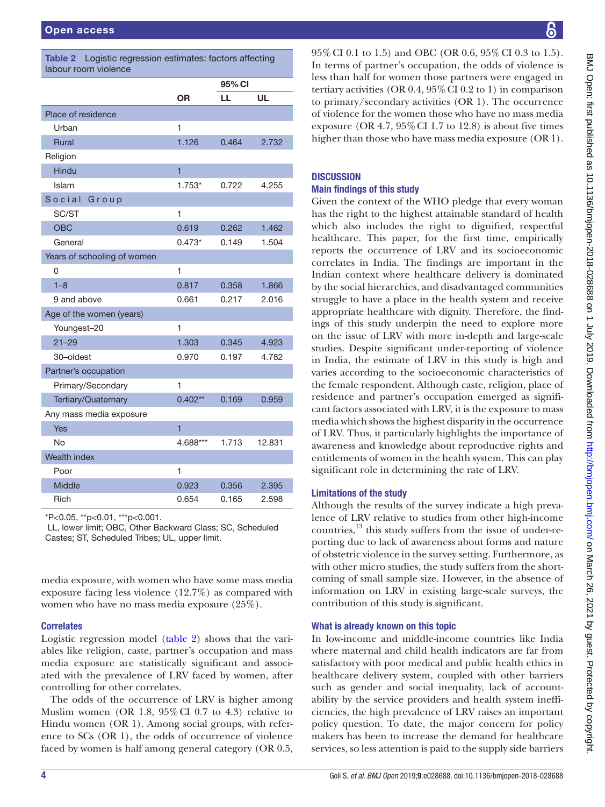<span id="page-3-0"></span>

| Logistic regression estimates: factors affecting<br><b>Table 2</b><br>labour room violence |                |        |        |  |  |  |
|--------------------------------------------------------------------------------------------|----------------|--------|--------|--|--|--|
|                                                                                            |                | 95% CI |        |  |  |  |
|                                                                                            | 0R             | LL     | UL     |  |  |  |
| Place of residence                                                                         |                |        |        |  |  |  |
| Urban                                                                                      | 1              |        |        |  |  |  |
| <b>Rural</b>                                                                               | 1.126          | 0.464  | 2.732  |  |  |  |
| Religion                                                                                   |                |        |        |  |  |  |
| Hindu                                                                                      | $\overline{1}$ |        |        |  |  |  |
| Islam                                                                                      | $1.753*$       | 0.722  | 4.255  |  |  |  |
| Social<br>Group                                                                            |                |        |        |  |  |  |
| SC/ST                                                                                      | 1              |        |        |  |  |  |
| <b>OBC</b>                                                                                 | 0.619          | 0.262  | 1.462  |  |  |  |
| General                                                                                    | $0.473*$       | 0.149  | 1.504  |  |  |  |
| Years of schooling of women                                                                |                |        |        |  |  |  |
| 0                                                                                          | 1              |        |        |  |  |  |
| $1 - 8$                                                                                    | 0.817          | 0.358  | 1.866  |  |  |  |
| 9 and above                                                                                | 0.661          | 0.217  | 2.016  |  |  |  |
| Age of the women (years)                                                                   |                |        |        |  |  |  |
| Youngest-20                                                                                | 1              |        |        |  |  |  |
| $21 - 29$                                                                                  | 1.303          | 0.345  | 4.923  |  |  |  |
| 30-oldest                                                                                  | 0.970          | 0.197  | 4.782  |  |  |  |
| Partner's occupation                                                                       |                |        |        |  |  |  |
| Primary/Secondary                                                                          | 1              |        |        |  |  |  |
| Tertiary/Quaternary                                                                        | $0.402**$      | 0.169  | 0.959  |  |  |  |
| Any mass media exposure                                                                    |                |        |        |  |  |  |
| Yes                                                                                        | $\overline{1}$ |        |        |  |  |  |
| No                                                                                         | 4.688***       | 1.713  | 12.831 |  |  |  |
| Wealth index                                                                               |                |        |        |  |  |  |
| Poor                                                                                       | 1              |        |        |  |  |  |
| <b>Middle</b>                                                                              | 0.923          | 0.356  | 2.395  |  |  |  |
| Rich                                                                                       | 0.654          | 0.165  | 2.598  |  |  |  |

\*P<0.05, \*\*p<0.01, \*\*\*p<0.001.

 LL, lower limit; OBC, Other Backward Class; SC, Scheduled Castes; ST, Scheduled Tribes; UL, upper limit.

media exposure, with women who have some mass media exposure facing less violence (12.7%) as compared with women who have no mass media exposure (25%).

#### **Correlates**

Logistic regression model [\(table](#page-3-0) 2) shows that the variables like religion, caste, partner's occupation and mass media exposure are statistically significant and associated with the prevalence of LRV faced by women, after controlling for other correlates.

The odds of the occurrence of LRV is higher among Muslim women (OR 1.8,  $95\%$  CI 0.7 to 4.3) relative to Hindu women (OR 1). Among social groups, with reference to SCs (OR 1), the odds of occurrence of violence faced by women is half among general category (OR 0.5,

95%CI 0.1 to 1.5) and OBC (OR 0.6, 95%CI 0.3 to 1.5). In terms of partner's occupation, the odds of violence is less than half for women those partners were engaged in tertiary activities (OR  $0.4$ ,  $95\%$  CI  $0.2$  to 1) in comparison to primary/secondary activities (OR 1). The occurrence of violence for the women those who have no mass media exposure (OR  $4.7$ ,  $95\%$  CI 1.7 to 12.8) is about five times higher than those who have mass media exposure (OR 1).

## **DISCUSSION**

#### Main findings of this study

Given the context of the WHO pledge that every woman has the right to the highest attainable standard of health which also includes the right to dignified, respectful healthcare. This paper, for the first time, empirically reports the occurrence of LRV and its socioeconomic correlates in India. The findings are important in the Indian context where healthcare delivery is dominated by the social hierarchies, and disadvantaged communities struggle to have a place in the health system and receive appropriate healthcare with dignity. Therefore, the findings of this study underpin the need to explore more on the issue of LRV with more in-depth and large-scale studies. Despite significant under-reporting of violence in India, the estimate of LRV in this study is high and varies according to the socioeconomic characteristics of the female respondent. Although caste, religion, place of residence and partner's occupation emerged as significant factors associated with LRV, it is the exposure to mass media which shows the highest disparity in the occurrence of LRV. Thus, it particularly highlights the importance of awareness and knowledge about reproductive rights and entitlements of women in the health system. This can play significant role in determining the rate of LRV.

#### Limitations of the study

Although the results of the survey indicate a high prevalence of LRV relative to studies from other high-income countries, $\frac{13}{3}$  this study suffers from the issue of under-reporting due to lack of awareness about forms and nature of obstetric violence in the survey setting. Furthermore, as with other micro studies, the study suffers from the shortcoming of small sample size. However, in the absence of information on LRV in existing large-scale surveys, the contribution of this study is significant.

#### What is already known on this topic

In low-income and middle-income countries like India where maternal and child health indicators are far from satisfactory with poor medical and public health ethics in healthcare delivery system, coupled with other barriers such as gender and social inequality, lack of accountability by the service providers and health system inefficiencies, the high prevalence of LRV raises an important policy question. To date, the major concern for policy makers has been to increase the demand for healthcare services, so less attention is paid to the supply side barriers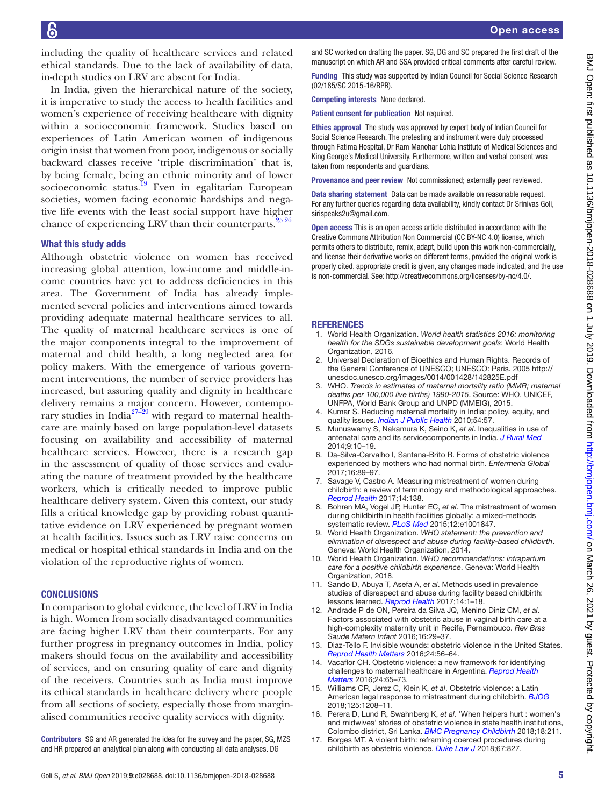including the quality of healthcare services and related ethical standards. Due to the lack of availability of data, in-depth studies on LRV are absent for India.

In India, given the hierarchical nature of the society, it is imperative to study the access to health facilities and women's experience of receiving healthcare with dignity within a socioeconomic framework. Studies based on experiences of Latin American women of indigenous origin insist that women from poor, indigenous or socially backward classes receive 'triple discrimination' that is, by being female, being an ethnic minority and of lower socioeconomic status.<sup>19</sup> Even in egalitarian European societies, women facing economic hardships and negative life events with the least social support have higher chance of experiencing LRV than their counterparts. $25\frac{25\frac{26}{25}}{25}$ 

#### What this study adds

Although obstetric violence on women has received increasing global attention, low-income and middle-income countries have yet to address deficiencies in this area. The Government of India has already implemented several policies and interventions aimed towards providing adequate maternal healthcare services to all. The quality of maternal healthcare services is one of the major components integral to the improvement of maternal and child health, a long neglected area for policy makers. With the emergence of various government interventions, the number of service providers has increased, but assuring quality and dignity in healthcare delivery remains a major concern. However, contempo-rary studies in India<sup>[27–29](#page-5-2)</sup> with regard to maternal healthcare are mainly based on large population-level datasets focusing on availability and accessibility of maternal healthcare services. However, there is a research gap in the assessment of quality of those services and evaluating the nature of treatment provided by the healthcare workers, which is critically needed to improve public healthcare delivery system. Given this context, our study fills a critical knowledge gap by providing robust quantitative evidence on LRV experienced by pregnant women at health facilities. Issues such as LRV raise concerns on medical or hospital ethical standards in India and on the violation of the reproductive rights of women.

#### **CONCLUSIONS**

In comparison to global evidence, the level of LRV in India is high. Women from socially disadvantaged communities are facing higher LRV than their counterparts. For any further progress in pregnancy outcomes in India, policy makers should focus on the availability and accessibility of services, and on ensuring quality of care and dignity of the receivers. Countries such as India must improve its ethical standards in healthcare delivery where people from all sections of society, especially those from marginalised communities receive quality services with dignity.

Contributors SG and AR generated the idea for the survey and the paper, SG, MZS and HR prepared an analytical plan along with conducting all data analyses. DG

Funding This study was supported by Indian Council for Social Science Research (02/185/SC 2015-16/RPR).

Competing interests None declared.

Patient consent for publication Not required.

Ethics approval The study was approved by expert body of Indian Council for Social Science Research. The pretesting and instrument were duly processed through Fatima Hospital, Dr Ram Manohar Lohia Institute of Medical Sciences and King George's Medical University. Furthermore, written and verbal consent was taken from respondents and guardians.

Provenance and peer review Not commissioned; externally peer reviewed.

Data sharing statement Data can be made available on reasonable request. For any further queries regarding data availability, kindly contact Dr Srinivas Goli, sirispeaks2u@gmail.com.

Open access This is an open access article distributed in accordance with the Creative Commons Attribution Non Commercial (CC BY-NC 4.0) license, which permits others to distribute, remix, adapt, build upon this work non-commercially, and license their derivative works on different terms, provided the original work is properly cited, appropriate credit is given, any changes made indicated, and the use is non-commercial. See: [http://creativecommons.org/licenses/by-nc/4.0/.](http://creativecommons.org/licenses/by-nc/4.0/)

#### **REFERENCES**

- <span id="page-4-0"></span>1. World Health Organization. *World health statistics 2016: monitoring health for the SDGs sustainable development goals*: World Health Organization, 2016.
- <span id="page-4-1"></span>2. Universal Declaration of Bioethics and Human Rights. Records of the General Conference of UNESCO; UNESCO: Paris. 2005 [http://](http://unesdoc.unesco.org/images/0014/001428/142825E.pdf) [unesdoc.unesco.org/images/0014/001428/142825E.pdf](http://unesdoc.unesco.org/images/0014/001428/142825E.pdf)
- <span id="page-4-2"></span>3. WHO. *Trends in estimates of maternal mortality ratio (MMR; maternal deaths per 100,000 live births) 1990-2015*. Source: WHO, UNICEF, UNFPA, World Bank Group and UNPD (MMEIG), 2015.
- <span id="page-4-3"></span>4. Kumar S. Reducing maternal mortality in India: policy, equity, and quality issues. *[Indian J Public Health](http://dx.doi.org/10.4103/0019-557X.73271)* 2010;54:57.
- 5. Munuswamy S, Nakamura K, Seino K, *et al*. Inequalities in use of antenatal care and its servicecomponents in India. *[J Rural Med](http://dx.doi.org/10.2185/jrm.2877)* 2014;9:10–19.
- <span id="page-4-4"></span>6. Da-Silva-Carvalho I, Santana-Brito R. Forms of obstetric violence experienced by mothers who had normal birth. *Enfermería Global* 2017;16:89–97.
- 7. Savage V, Castro A. Measuring mistreatment of women during childbirth: a review of terminology and methodological approaches. *[Reprod Health](http://dx.doi.org/10.1186/s12978-017-0403-5)* 2017;14:138.
- <span id="page-4-5"></span>8. Bohren MA, Vogel JP, Hunter EC, *et al*. The mistreatment of women during childbirth in health facilities globally: a mixed-methods systematic review. *[PLoS Med](http://dx.doi.org/10.1371/journal.pmed.1001847)* 2015;12:e1001847.
- <span id="page-4-6"></span>9. World Health Organization. *WHO statement: the prevention and elimination of disrespect and abuse during facility-based childbirth*. Geneva: World Health Organization, 2014.
- <span id="page-4-7"></span>10. World Health Organization. *WHO recommendations: intrapartum care for a positive childbirth experience*. Geneva: World Health Organization, 2018.
- <span id="page-4-8"></span>11. Sando D, Abuya T, Asefa A, *et al*. Methods used in prevalence studies of disrespect and abuse during facility based childbirth: lessons learned. [Reprod Health](http://dx.doi.org/10.1186/s12978-017-0389-z) 2017;14:1-18.
- 12. Andrade P de ON, Pereira da Silva JQ, Menino Diniz CM, *et al*. Factors associated with obstetric abuse in vaginal birth care at a high-complexity maternity unit in Recife, Pernambuco. *Rev Bras Saude Matern Infant* 2016;16:29–37.
- <span id="page-4-9"></span>13. Diaz-Tello F. Invisible wounds: obstetric violence in the United States. *[Reprod Health Matters](http://dx.doi.org/10.1016/j.rhm.2016.04.004)* 2016;24:56–64.
- 14. Vacaflor CH. Obstetric violence: a new framework for identifying challenges to maternal healthcare in Argentina. *[Reprod Health](http://dx.doi.org/10.1016/j.rhm.2016.05.001)  [Matters](http://dx.doi.org/10.1016/j.rhm.2016.05.001)* 2016;24:65–73.
- 15. Williams CR, Jerez C, Klein K, *et al*. Obstetric violence: a Latin American legal response to mistreatment during childbirth. *[BJOG](http://dx.doi.org/10.1111/1471-0528.15270)* 2018;125:1208–11.
- 16. Perera D, Lund R, Swahnberg K, *et al*. 'When helpers hurt': women's and midwives' stories of obstetric violence in state health institutions, Colombo district, Sri Lanka. *[BMC Pregnancy Childbirth](http://dx.doi.org/10.1186/s12884-018-1869-z)* 2018;18:211.
- 17. Borges MT. A violent birth: reframing coerced procedures during childbirth as obstetric violence. *[Duke Law J](http://www.ncbi.nlm.nih.gov/pubmed/29469554)* 2018;67:827.